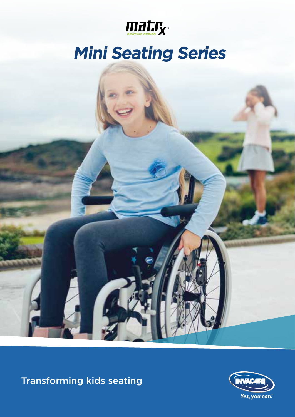

# **Mini Seating Series**

**Transforming kids seating Trusted Solutions** 

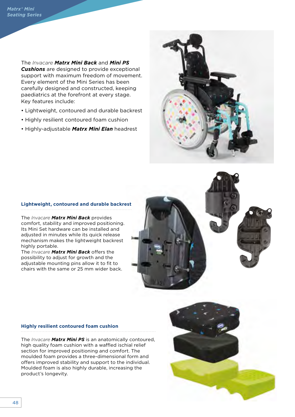The *Invacare Matrx Mini Back* and *Mini PS Cushions* are designed to provide exceptional support with maximum freedom of movement. Every element of the Mini Series has been carefully designed and constructed, keeping paediatrics at the forefront at every stage. Key features include:

- Lightweight, contoured and durable backrest
- Highly resilient contoured foam cushion
- Highly-adjustable *Matrx Mini Elan* headrest



## **Lightweight, contoured and durable backrest**

The *Invacare Matrx Mini Back* provides comfort, stability and improved positioning. Its Mini Set hardware can be installed and adjusted in minutes while its quick release mechanism makes the lightweight backrest highly portable.

The *Invacare Matrx Mini Back* offers the possibility to adjust for growth and the adjustable mounting pins allow it to fit to chairs with the same or 25 mm wider back.



#### **Highly resilient contoured foam cushion**

The *Invacare Matrx Mini PS* is an anatomically contoured, high quality foam cushion with a waffled ischial relief section for improved positioning and comfort. The moulded foam provides a three-dimensional form and offers improved stability and support to the individual. Moulded foam is also highly durable, increasing the product's longevity.

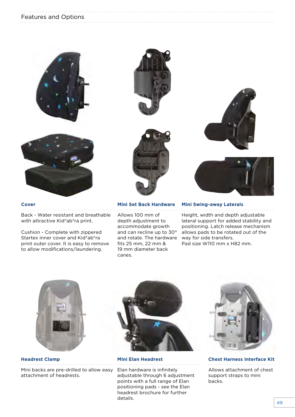## Features and Options





### **Cover**

Back - Water resistant and breathable with attractive Kid\*ab\*ra print.

Cushion - Complete with zippered Startex inner cover and Kid\*ab\*ra print outer cover. It is easy to remove to allow modifications/laundering.





#### **Mini Set Back Hardware**

Allows 100 mm of depth adjustment to accommodate growth and can recline up to 30° and rotate. The hardware fits 25 mm, 22 mm & 19 mm diameter back canes.





#### **Mini Swing-away Laterals**

Height, width and depth adjustable lateral support for added stability and positioning. Latch release mechanism allows pads to be rotated out of the way for side transfers. Pad size W110 mm x H82 mm.



**Headrest Clamp**

Mini backs are pre-drilled to allow easy attachment of headrests.



**Mini Elan Headrest**

Elan hardware is infinitely adjustable through 6 adjustment points with a full range of Elan positioning pads - see the Elan headrest brochure for further details.



**Chest Harness Interface Kit**

Allows attachment of chest support straps to mini backs.